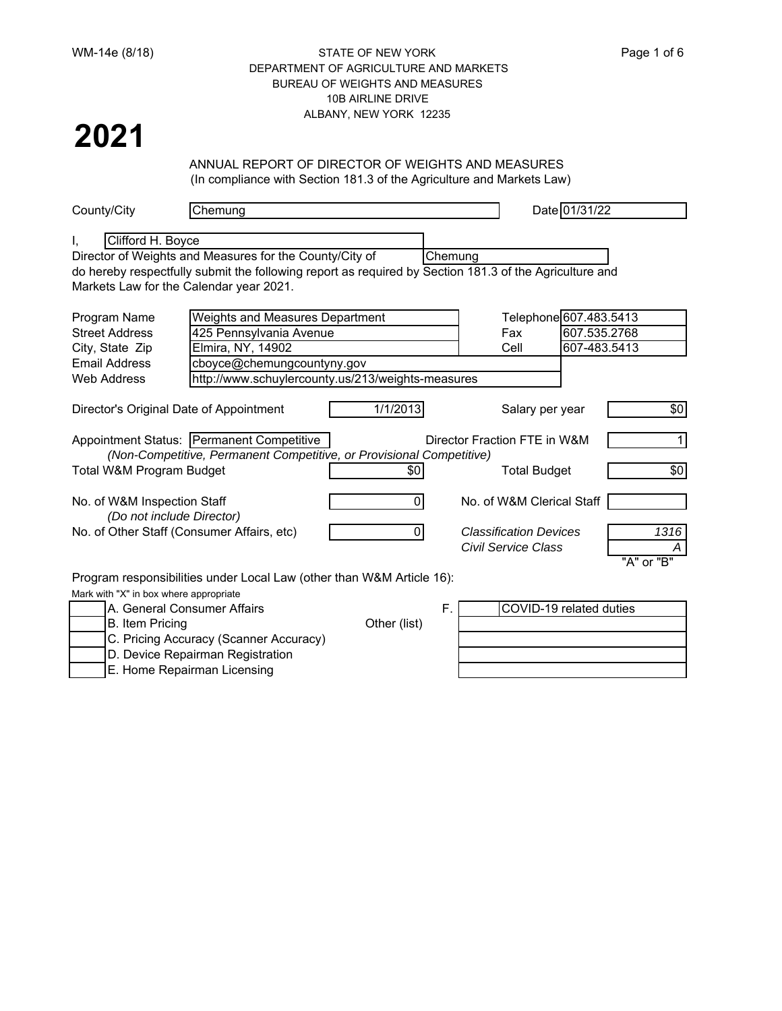### WM-14e (8/18) STATE OF NEW YORK Page 1 of 6 DEPARTMENT OF AGRICULTURE AND MARKETS BUREAU OF WEIGHTS AND MEASURES 10B AIRLINE DRIVE ALBANY, NEW YORK 12235

# **2021**

## ANNUAL REPORT OF DIRECTOR OF WEIGHTS AND MEASURES

(In compliance with Section 181.3 of the Agriculture and Markets Law)

| County/City                             | Chemung                                                                                                |                |         |                               | Date 01/31/22 |              |
|-----------------------------------------|--------------------------------------------------------------------------------------------------------|----------------|---------|-------------------------------|---------------|--------------|
|                                         |                                                                                                        |                |         |                               |               |              |
| Clifford H. Boyce<br>I.                 |                                                                                                        |                |         |                               |               |              |
|                                         | Director of Weights and Measures for the County/City of                                                |                | Chemung |                               |               |              |
|                                         | do hereby respectfully submit the following report as required by Section 181.3 of the Agriculture and |                |         |                               |               |              |
|                                         | Markets Law for the Calendar year 2021.                                                                |                |         |                               |               |              |
| Program Name                            | Weights and Measures Department                                                                        |                |         | Telephone 607.483.5413        |               |              |
| <b>Street Address</b>                   | 425 Pennsylvania Avenue                                                                                |                |         | Fax                           | 607.535.2768  |              |
| City, State Zip                         | Elmira, NY, 14902                                                                                      |                |         | Cell                          | 607-483.5413  |              |
| <b>Email Address</b>                    | cboyce@chemungcountyny.gov                                                                             |                |         |                               |               |              |
| <b>Web Address</b>                      | http://www.schuylercounty.us/213/weights-measures                                                      |                |         |                               |               |              |
|                                         |                                                                                                        |                |         |                               |               |              |
| Director's Original Date of Appointment |                                                                                                        | 1/1/2013       |         | Salary per year               |               | \$0          |
|                                         | Appointment Status: Permanent Competitive                                                              |                |         | Director Fraction FTE in W&M  |               | $\mathbf{1}$ |
|                                         | (Non-Competitive, Permanent Competitive, or Provisional Competitive)                                   |                |         |                               |               |              |
| Total W&M Program Budget                |                                                                                                        | \$0            |         | <b>Total Budget</b>           |               | \$0          |
| No. of W&M Inspection Staff             |                                                                                                        | 01             |         | No. of W&M Clerical Staff     |               |              |
| (Do not include Director)               |                                                                                                        |                |         |                               |               |              |
|                                         | No. of Other Staff (Consumer Affairs, etc)                                                             | $\overline{0}$ |         | <b>Classification Devices</b> |               | 1316         |
|                                         |                                                                                                        |                |         | <b>Civil Service Class</b>    |               |              |
|                                         |                                                                                                        |                |         |                               |               | "A" or "B"   |
|                                         | Program responsibilities under Local Law (other than W&M Article 16):                                  |                |         |                               |               |              |
| Mark with "X" in box where appropriate  |                                                                                                        |                |         |                               |               |              |
|                                         | A. General Consumer Affairs                                                                            |                | F.      | COVID-19 related duties       |               |              |
| <b>B.</b> Item Pricing                  |                                                                                                        | Other (list)   |         |                               |               |              |
|                                         | C. Pricing Accuracy (Scanner Accuracy)                                                                 |                |         |                               |               |              |
|                                         | D. Device Repairman Registration                                                                       |                |         |                               |               |              |
|                                         | E. Home Repairman Licensing                                                                            |                |         |                               |               |              |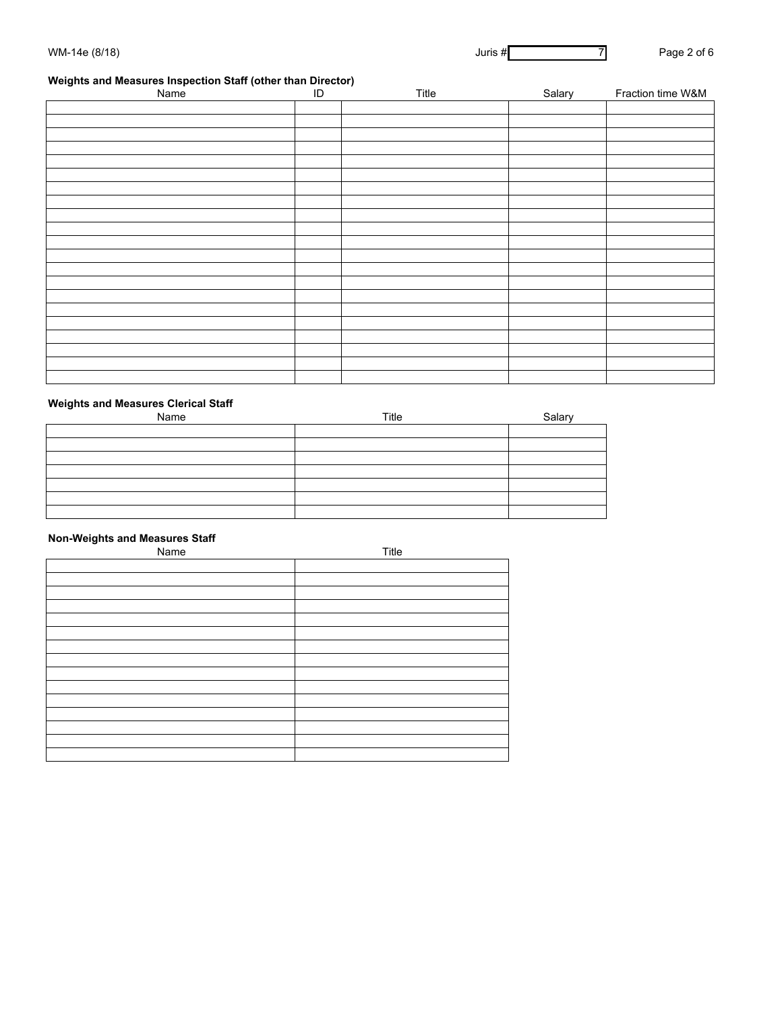### **Weights and Measures Inspection Staff (other than Director)**

| Name | ID | Title | Salary | Fraction time W&M |
|------|----|-------|--------|-------------------|
|      |    |       |        |                   |
|      |    |       |        |                   |
|      |    |       |        |                   |
|      |    |       |        |                   |
|      |    |       |        |                   |
|      |    |       |        |                   |
|      |    |       |        |                   |
|      |    |       |        |                   |
|      |    |       |        |                   |
|      |    |       |        |                   |
|      |    |       |        |                   |
|      |    |       |        |                   |
|      |    |       |        |                   |
|      |    |       |        |                   |
|      |    |       |        |                   |
|      |    |       |        |                   |
|      |    |       |        |                   |
|      |    |       |        |                   |
|      |    |       |        |                   |
|      |    |       |        |                   |
|      |    |       |        |                   |

### **Weights and Measures Clerical Staff**

| Name | Title | Salary |
|------|-------|--------|
|      |       |        |
|      |       |        |
|      |       |        |
|      |       |        |
|      |       |        |
|      |       |        |
|      |       |        |

#### **Non-Weights and Measures Staff**

| Name | Title |
|------|-------|
|      |       |
|      |       |
|      |       |
|      |       |
|      |       |
|      |       |
|      |       |
|      |       |
|      |       |
|      |       |
|      |       |
|      |       |
|      |       |
|      |       |
|      |       |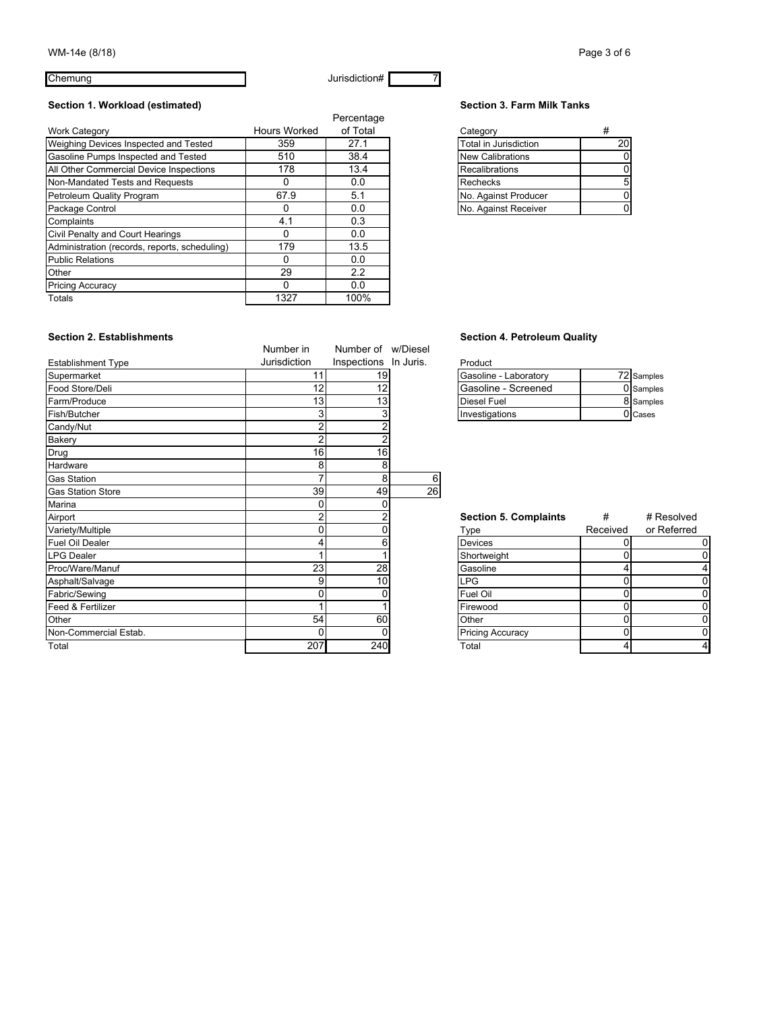Chemung 7 and 7 and 7 and 7 and 7 and 7 and 7 and 7 and 7 and 7 and 7 and 7 and 7 and 7 and 7 and 7 and 7 and 7 and 7 and 7 and 7 and 7 and 7 and 7 and 7 and 7 and 7 and 7 and 7 and 7 and 7 and 7 and 7 and 7 and 7 and 7 an

### Section 1. Workload (estimated) **Section 3. Farm Milk Tanks**

|                                               |              | Percentage |                         |    |
|-----------------------------------------------|--------------|------------|-------------------------|----|
| <b>Work Category</b>                          | Hours Worked | of Total   | Category                | #  |
| Weighing Devices Inspected and Tested         | 359          | 27.1       | Total in Jurisdiction   | 20 |
| Gasoline Pumps Inspected and Tested           | 510          | 38.4       | <b>New Calibrations</b> | 0  |
| All Other Commercial Device Inspections       | 178          | 13.4       | <b>Recalibrations</b>   |    |
| Non-Mandated Tests and Requests               |              | 0.0        | Rechecks                |    |
| Petroleum Quality Program                     | 67.9         | 5.1        | No. Against Producer    |    |
| Package Control                               |              | 0.0        | No. Against Receiver    | 0  |
| Complaints                                    | 4.1          | 0.3        |                         |    |
| Civil Penalty and Court Hearings              | 0            | 0.0        |                         |    |
| Administration (records, reports, scheduling) | 179          | 13.5       |                         |    |
| <b>Public Relations</b>                       | 0            | 0.0        |                         |    |
| Other                                         | 29           | 2.2        |                         |    |
| <b>Pricing Accuracy</b>                       | O            | 0.0        |                         |    |
| Totals                                        | 1327         | 100%       |                         |    |

| Category                |  |
|-------------------------|--|
| Total in Jurisdiction   |  |
| <b>New Calibrations</b> |  |
| Recalibrations          |  |
| Rechecks                |  |
| No. Against Producer    |  |
| No. Against Receiver    |  |
|                         |  |

#### **Section 2. Establishments Section 4. Petroleum Quality Section 4. Petroleum Quality**

| Gasoline - Laboratory | 72 Samples |
|-----------------------|------------|
| Gasoline - Screened   | 0 Samples  |
| <b>Diesel Fuel</b>    | 8 Samples  |
| Investigations        | 0 Cases    |

| <b>Section 5. Complaints</b> |          | # Resolved  |  |  |
|------------------------------|----------|-------------|--|--|
| Type                         | Received | or Referred |  |  |
| <b>Devices</b>               |          |             |  |  |
| Shortweight                  |          |             |  |  |
| Gasoline                     |          |             |  |  |
| <b>LPG</b>                   |          |             |  |  |
| Fuel Oil                     |          |             |  |  |
| Firewood                     |          |             |  |  |
| Other                        |          |             |  |  |
| <b>Pricing Accuracy</b>      |          |             |  |  |
| Total                        |          |             |  |  |

|                           | Number in      | Number of w/Diesel    |    |                              |          |             |
|---------------------------|----------------|-----------------------|----|------------------------------|----------|-------------|
| <b>Establishment Type</b> | Jurisdiction   | Inspections In Juris. |    | Product                      |          |             |
| Supermarket               | 11             | 19                    |    | Gasoline - Laboratory        |          | 72 Samples  |
| Food Store/Deli           | 12             | 12                    |    | Gasoline - Screened          |          | 0 Samples   |
| Farm/Produce              | 13             | 13                    |    | <b>Diesel Fuel</b>           |          | 8 Samples   |
| Fish/Butcher              | 3              | 3                     |    | Investigations               |          | 0 Cases     |
| Candy/Nut                 | 2              | $\overline{2}$        |    |                              |          |             |
| Bakery                    | $\overline{2}$ | $\overline{2}$        |    |                              |          |             |
| Drug                      | 16             | 16                    |    |                              |          |             |
| Hardware                  | 8              | 8                     |    |                              |          |             |
| <b>Gas Station</b>        |                | 8                     | 6  |                              |          |             |
| <b>Gas Station Store</b>  | 39             | 49                    | 26 |                              |          |             |
| Marina                    |                | 0                     |    |                              |          |             |
| Airport                   | 2              | 2                     |    | <b>Section 5. Complaints</b> | #        | # Resolved  |
| Variety/Multiple          |                | 0                     |    | Type                         | Received | or Referred |
| <b>Fuel Oil Dealer</b>    |                | 6                     |    | Devices                      | 0        | 0           |
| <b>LPG Dealer</b>         |                |                       |    | Shortweight                  |          | $\Omega$    |
| Proc/Ware/Manuf           | 23             | 28                    |    | Gasoline                     | 4        | 4           |
| Asphalt/Salvage           | 9              | 10                    |    | <b>LPG</b>                   | 0        | 0           |
| Fabric/Sewing             |                | 0                     |    | Fuel Oil                     | 0        | 0           |
| Feed & Fertilizer         |                |                       |    | Firewood                     | 0        | 0           |
| Other                     | 54             | 60                    |    | Other                        | 0        | 0           |
| Non-Commercial Estab.     | 0              | 0                     |    | <b>Pricing Accuracy</b>      | 0        | 0           |
| Total                     | 207            | 240                   |    | Total                        |          | 4           |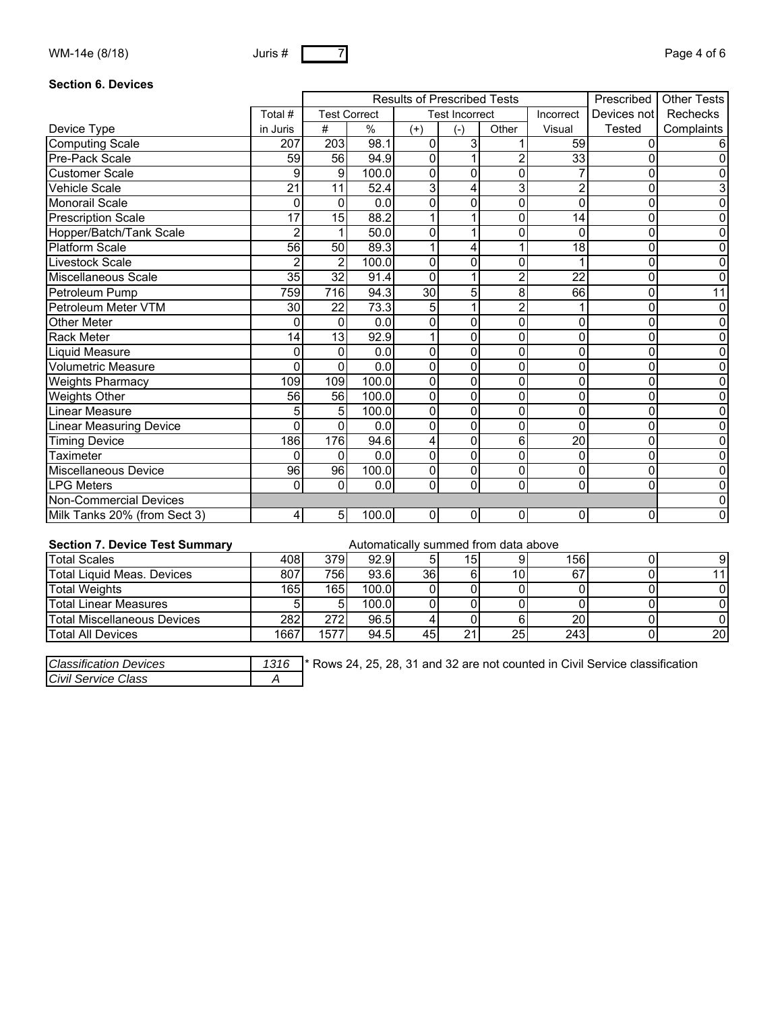| WM-14e (8/18) | Juris # | - 1 | Page 4 of 6 |
|---------------|---------|-----|-------------|
|               |         |     |             |

#### **Section 6. Devices**

|                                |                 | <b>Results of Prescribed Tests</b> |                     |                 |                       | Prescribed     | Other Tests     |             |            |
|--------------------------------|-----------------|------------------------------------|---------------------|-----------------|-----------------------|----------------|-----------------|-------------|------------|
|                                | Total #         |                                    | <b>Test Correct</b> |                 | <b>Test Incorrect</b> |                | Incorrect       | Devices not | Rechecks   |
| Device Type                    | in Juris        | #                                  | $\%$                | $(+)$           | $(-)$                 | Other          | Visual          | Tested      | Complaints |
| <b>Computing Scale</b>         | 207             | 203                                | 98.1                | 0               | 3                     |                | 59              | 0           | 6          |
| Pre-Pack Scale                 | 59              | 56                                 | 94.9                | 0               |                       | 2              | 33              | 0           | 0          |
| <b>Customer Scale</b>          | 9               | 9                                  | 100.0               | 0               | 0                     | 0              |                 | 0           | 0          |
| <b>Vehicle Scale</b>           | $\overline{21}$ | 11                                 | 52.4                | 3               | 4                     | 3              | $\overline{2}$  | 0           | 3          |
| <b>Monorail Scale</b>          | 0               | 0                                  | $\overline{0.0}$    | 0               | 0                     | 0              | $\mathbf{0}$    | 0           | 0          |
| <b>Prescription Scale</b>      | $\overline{17}$ | 15                                 | 88.2                |                 |                       | 0              | 14              | 0           | 0          |
| Hopper/Batch/Tank Scale        | $\overline{2}$  |                                    | 50.0                | 0               |                       | 0              | 0               | 0           | 0          |
| <b>Platform Scale</b>          | $\overline{56}$ | $\overline{50}$                    | 89.3                | 1               | 4                     | 1              | $\overline{18}$ | 0           | 0          |
| Livestock Scale                |                 | 2                                  | 100.0               | 0               | 0                     | 0              |                 | 0           | 0          |
| Miscellaneous Scale            | $\overline{35}$ | $\overline{32}$                    | 91.4                | $\overline{0}$  |                       | $\overline{2}$ | $\overline{22}$ | 0           | 0          |
| Petroleum Pump                 | 759             | 716                                | 94.3                | $\overline{30}$ | 5                     | 8              | 66              | 0           | 11         |
| Petroleum Meter VTM            | 30              | 22                                 | 73.3                | 5               |                       | $\overline{2}$ |                 | 0           | 0          |
| <b>Other Meter</b>             | 0               | 0                                  | 0.0                 | 0               | 0                     | 0              | 0               | 0           | 0          |
| <b>Rack Meter</b>              | 14              | $\overline{13}$                    | 92.9                | 1               | 0                     | 0              | 0               | 0           | 0          |
| Liquid Measure                 | 0               | 0                                  | 0.0                 | 0               | 0                     | 0              | 0               | 0           | 0          |
| <b>Volumetric Measure</b>      | 0               | 0                                  | 0.0                 | 0               | 0                     | 0              | 0               | 0           | 0          |
| <b>Weights Pharmacy</b>        | 109             | 109                                | 100.0               | 0               | 0                     | 0              | 0               | 0           | 0          |
| Weights Other                  | 56              | 56                                 | 100.0               | $\mathbf 0$     | 0                     | 0              | 0               | 0           | 0          |
| Linear Measure                 | 5               | 5                                  | 100.0               | 0               | 0                     | 0              | 0               | 0           | 0          |
| <b>Linear Measuring Device</b> | 0               | 0                                  | 0.0                 | 0               | 0                     | 0              | 0               | 0           | 0          |
| <b>Timing Device</b>           | 186             | 176                                | 94.6                | 4               | 0                     | 6              | 20              | 0           | 0          |
| <b>Taximeter</b>               | 0               | 0                                  | 0.0                 | $\overline{0}$  | 0                     | 0              | 0               | 0           | 0          |
| <b>Miscellaneous Device</b>    | 96              | 96                                 | 100.0               | 0               | 0                     | 0              | 0               | 0           | 0          |
| <b>LPG Meters</b>              | $\Omega$        | $\overline{0}$                     | 0.0                 | 0               | 0                     | 0              | 0               | 0           | 0          |
| <b>Non-Commercial Devices</b>  |                 |                                    |                     |                 |                       |                |                 |             | 0          |
| Milk Tanks 20% (from Sect 3)   | 4               | 5                                  | 100.0               | 0               | 0                     | 0              | $\Omega$        | 0           | 0          |

# **Section 7. Device Test Summary Automatically summed from data above**

| <b>Total Scales</b>                | 408  | 379I              | 92.9  |     | 15 <sub>1</sub> |     | 156 | 91  |
|------------------------------------|------|-------------------|-------|-----|-----------------|-----|-----|-----|
| Total Liquid Meas, Devices         | 807  | 7561              | 93.6  | 36I |                 | 10I | 67  | 11  |
| <b>Total Weights</b>               | 1651 | 165l              | 100.0 |     |                 |     |     |     |
| Total Linear Measures              |      |                   | 100.0 |     |                 |     |     |     |
| <b>Total Miscellaneous Devices</b> | 282  | 272I              | 96.5  |     |                 |     | 20  |     |
| <b>Total All Devices</b>           | 1667 | 1577 <sub>1</sub> | 94.5  | 45) | 04              | 25  | 243 | 20I |

| Classification Devices | 1316 | <sup>1</sup> * Rows 24, 25, 28, 31 and 32 are not counted in Civil Service classification |
|------------------------|------|-------------------------------------------------------------------------------------------|
| Civil Service Class    |      |                                                                                           |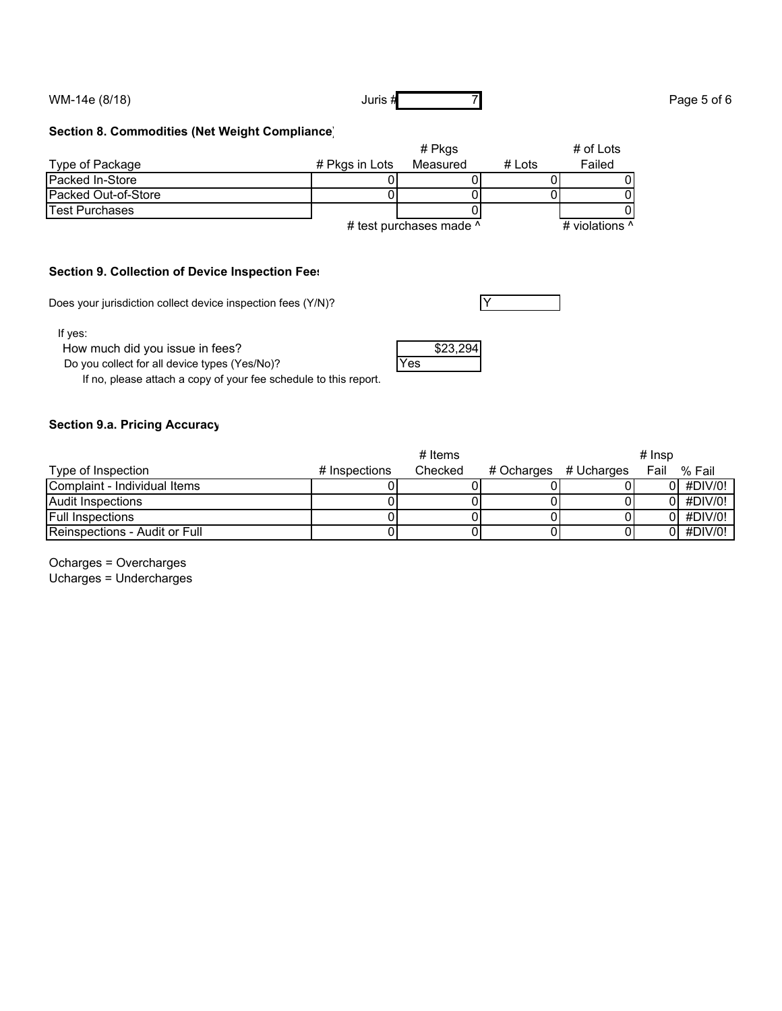WM-14e  $(8/18)$  Page 5 of 6

#### **Section 8. Commodities (Net Weight Compliance)**

|                            | # Pkgs         |                         |        | # of Lots      |
|----------------------------|----------------|-------------------------|--------|----------------|
| Type of Package            | # Pkgs in Lots | Measured                | # Lots | Failed         |
| <b>Packed In-Store</b>     |                |                         |        |                |
| <b>Packed Out-of-Store</b> |                |                         |        |                |
| Test Purchases             |                |                         |        |                |
|                            |                | # test purchases made ^ |        | # violations ^ |

#### **Section 9. Collection of Device Inspection Fees**

Does your jurisdiction collect device inspection fees  $(Y/N)$ ?

If yes:

How much did you issue in fees? \$23,294

Do you collect for all device types (Yes/No)? The Ves

If no, please attach a copy of your fee schedule to this report.

#### **Section 9.a. Pricing Accuracy**

|                                       |               | $#$ Items |                       | $#$ Insp |             |
|---------------------------------------|---------------|-----------|-----------------------|----------|-------------|
| Type of Inspection                    | # Inspections | Checked   | # Ocharges # Ucharges | Fail     | % Fail      |
| Complaint - Individual Items          |               |           |                       |          | $0$ #DIV/0! |
| Audit Inspections                     |               |           |                       |          | $0$ #DIV/0! |
| <b>Full Inspections</b>               |               |           |                       |          | $0$ #DIV/0! |
| <b>IReinspections - Audit or Full</b> |               |           |                       |          | 0 #DIV/0!   |

Ocharges = Overcharges Ucharges = Undercharges





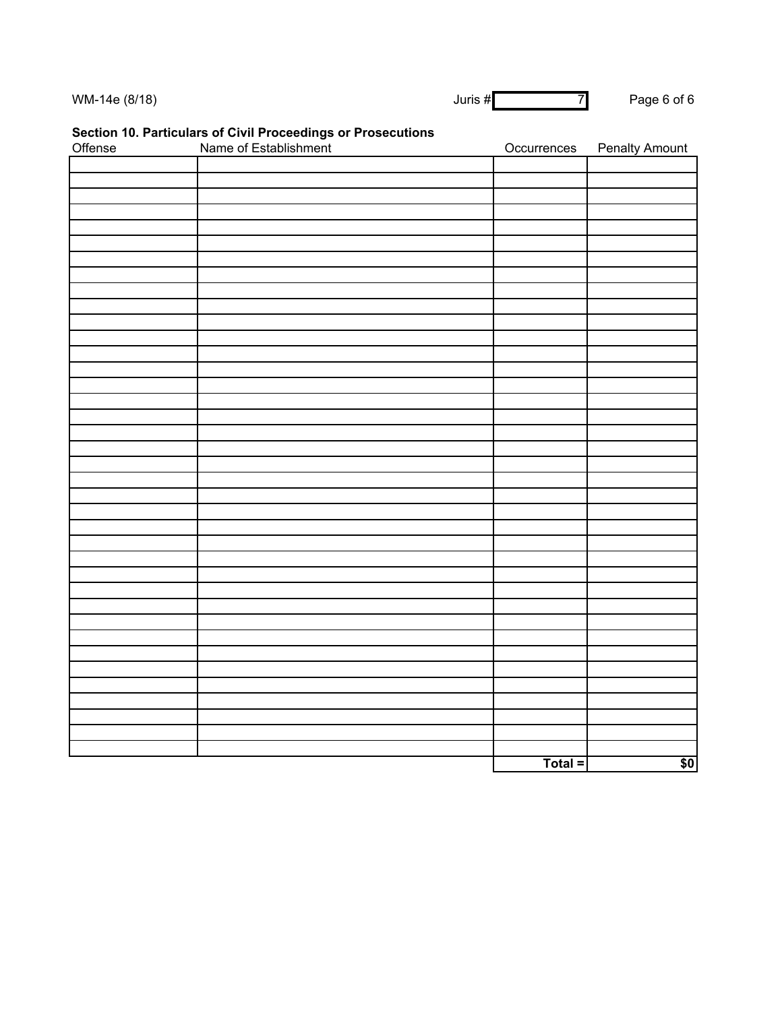| WM-14e (8/18) | Juris # | 71 | Page 6 of 6 |
|---------------|---------|----|-------------|
|               |         |    |             |

# **Section 10. Particulars of Civil Proceedings or Prosecutions**

| Offense | Name of Establishment | Occurrences | <b>Penalty Amount</b> |
|---------|-----------------------|-------------|-----------------------|
|         |                       |             |                       |
|         |                       |             |                       |
|         |                       |             |                       |
|         |                       |             |                       |
|         |                       |             |                       |
|         |                       |             |                       |
|         |                       |             |                       |
|         |                       |             |                       |
|         |                       |             |                       |
|         |                       |             |                       |
|         |                       |             |                       |
|         |                       |             |                       |
|         |                       |             |                       |
|         |                       |             |                       |
|         |                       |             |                       |
|         |                       |             |                       |
|         |                       |             |                       |
|         |                       |             |                       |
|         |                       |             |                       |
|         |                       |             |                       |
|         |                       |             |                       |
|         |                       |             |                       |
|         |                       |             |                       |
|         |                       |             |                       |
|         |                       |             |                       |
|         |                       |             |                       |
|         |                       |             |                       |
|         |                       |             |                       |
|         |                       |             |                       |
|         |                       |             |                       |
|         |                       |             |                       |
|         |                       |             |                       |
|         |                       |             |                       |
|         |                       |             |                       |
|         |                       |             |                       |
|         |                       |             |                       |
|         |                       |             |                       |
|         |                       |             |                       |
|         |                       | Total =     | \$0                   |